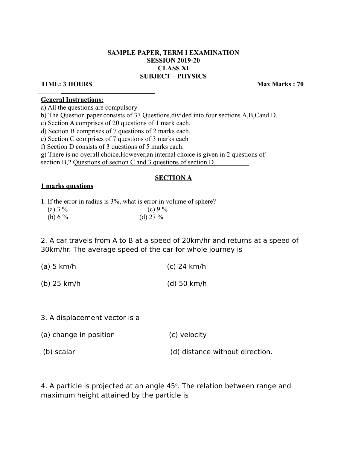# **SAMPLE PAPER, TERM I EXAMINATION SESSION 2019-20 CLASS XI SUBJECT – PHYSICS**

## **TIME: 3 HOURS** Max Marks : 70

### **General Instructions:**

a) All the questions are compulsory

b) The Question paper consists of 37 Questions,divided into four sections A,B,Cand D.

c) Section A comprises of 20 questions of 1 mark each.

d) Section B comprises of 7 questions of 2 marks each.

e) Section C comprises of 7 questions of 3 marks each

f) Section D consists of 3 questions of 5 marks each.

g) There is no overall choice.However,an internal choice is given in 2 questions of

section B,2 Questions of section C and 3 questions of section D.

# **SECTION A**

## **1 marks questions**

**1**. If the error in radius is 3%, what is error in volume of sphere?

| (a) $3\%$ | (c) 9 $%$  |
|-----------|------------|
| (b) $6\%$ | (d) $27\%$ |

2. A car travels from A to B at a speed of 20km/hr and returns at a speed of 30km/hr. The average speed of the car for whole journey is

| $(a)$ 5 km/h  | $(c)$ 24 km/h |
|---------------|---------------|
| $(b)$ 25 km/h | $(d)$ 50 km/h |

- 3. A displacement vector is a
- (a) change in position (c) velocity
- (b) scalar (b) scalar (d) distance without direction.

4. A particle is projected at an angle  $45^{\circ}$ . The relation between range and maximum height attained by the particle is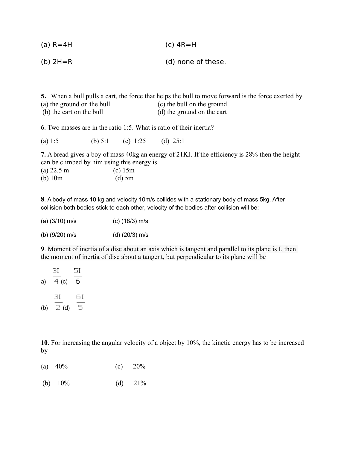(b) 2H=R (d) none of these.

**5.** When a bull pulls a cart, the force that helps the bull to move forward is the force exerted by (a) the ground on the bull (c) the bull on the ground (b) the cart on the bull (d) the ground on the cart

**6**. Two masses are in the ratio 1:5. What is ratio of their inertia?

(a) 1:5 (b) 5:1 (c) 1:25 (d) 25:1

**7.** A bread gives a boy of mass 40kg an energy of 21KJ. If the efficiency is 28% then the height can be climbed by him using this energy is

| $(a)$ 22.5 m | $(c)$ 15m |
|--------------|-----------|
| $(b)$ 10m    | $(d)$ 5m  |

**8**. A body of mass 10 kg and velocity 10m/s collides with a stationary body of mass 5kg. After collision both bodies stick to each other, velocity of the bodies after collision will be:

| $(a)$ (3/10) m/s | $(c)$ (18/3) m/s |
|------------------|------------------|
| (b) $(9/20)$ m/s | (d) $(20/3)$ m/s |

**9**. Moment of inertia of a disc about an axis which is tangent and parallel to its plane is I, then the moment of inertia of disc about a tangent, but perpendicular to its plane will be

a) 
$$
\frac{3I}{4}
$$
 (c)  $\frac{5I}{6}$   
(b)  $\frac{3I}{2}$  (d)  $\frac{6I}{5}$ 

**10**. For increasing the angular velocity of a object by 10%, the kinetic energy has to be increased by

- (a)  $40\%$  (c)  $20\%$
- (b)  $10\%$  (d)  $21\%$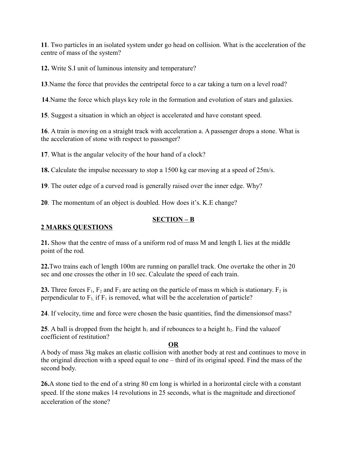**11**. Two particles in an isolated system under go head on collision. What is the acceleration of the centre of mass of the system?

**12.** Write S.I unit of luminous intensity and temperature?

**13**.Name the force that provides the centripetal force to a car taking a turn on a level road?

 **14**.Name the force which plays key role in the formation and evolution of stars and galaxies.

**15**. Suggest a situation in which an object is accelerated and have constant speed.

**16**. A train is moving on a straight track with acceleration a. A passenger drops a stone. What is the acceleration of stone with respect to passenger?

**17**. What is the angular velocity of the hour hand of a clock?

**18.** Calculate the impulse necessary to stop a 1500 kg car moving at a speed of 25m/s.

**19**. The outer edge of a curved road is generally raised over the inner edge. Why?

**20**. The momentum of an object is doubled. How does it's. K.E change?

# **SECTION – B**

# **2 MARKS QUESTIONS**

**21.** Show that the centre of mass of a uniform rod of mass M and length L lies at the middle point of the rod.

**22.**Two trains each of length 100m are running on parallel track. One overtake the other in 20 sec and one crosses the other in 10 sec. Calculate the speed of each train.

**23.** Three forces  $F_1$ ,  $F_2$  and  $F_3$  are acting on the particle of mass m which is stationary.  $F_2$  is perpendicular to  $F_3$  if  $F_1$  is removed, what will be the acceleration of particle?

**24**. If velocity, time and force were chosen the basic quantities, find the dimensionsof mass?

**25**. A ball is dropped from the height  $h_1$  and if rebounces to a height  $h_2$ . Find the value of coefficient of restitution?

# **OR**

A body of mass 3kg makes an elastic collision with another body at rest and continues to move in the original direction with a speed equal to one – third of its original speed. Find the mass of the second body.

**26.**A stone tied to the end of a string 80 cm long is whirled in a horizontal circle with a constant speed. If the stone makes 14 revolutions in 25 seconds, what is the magnitude and directionof acceleration of the stone?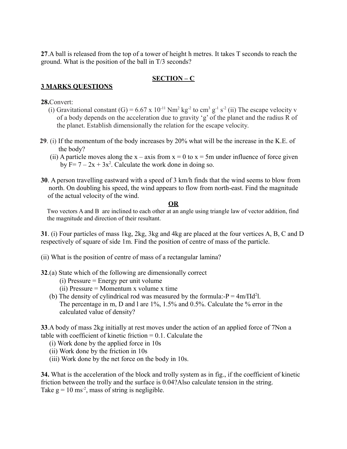**27**.A ball is released from the top of a tower of height h metres. It takes T seconds to reach the ground. What is the position of the ball in T/3 seconds?

# **SECTION – C**

# **3 MARKS QUESTIONS**

# **28.**Convert:

- (i) Gravitational constant (G) = 6.67 x 10<sup>-11</sup> Nm<sup>2</sup> kg<sup>-2</sup> to cm<sup>3</sup> g<sup>-1</sup> s<sup>-2</sup> (ii) The escape velocity v of a body depends on the acceleration due to gravity 'g' of the planet and the radius R of the planet. Establish dimensionally the relation for the escape velocity.
	- **29**. (i) If the momentum of the body increases by 20% what will be the increase in the K.E. of the body?
- (ii) A particle moves along the  $x axis$  from  $x = 0$  to  $x = 5$ m under influence of force given by  $F = 7 - 2x + 3x^2$ . Calculate the work done in doing so.
	- **30**. A person travelling eastward with a speed of 3 km/h finds that the wind seems to blow from north. On doubling his speed, the wind appears to flow from north-east. Find the magnitude of the actual velocity of the wind.

# **OR**

 Two vectors A and B are inclined to each other at an angle using triangle law of vector addition, find the magnitude and direction of their resultant.

**31**. (i) Four particles of mass 1kg, 2kg, 3kg and 4kg are placed at the four vertices A, B, C and D respectively of square of side 1m. Find the position of centre of mass of the particle.

- (ii) What is the position of centre of mass of a rectangular lamina?
- **32**.(a) State which of the following are dimensionally correct
	- (i) Pressure = Energy per unit volume
	- (ii) Pressure = Momentum x volume x time
- (b) The density of cylindrical rod was measured by the formula:- $P = 4m/\Pi d^2l$ . The percentage in m, D and l are 1%, 1.5% and 0.5%. Calculate the % error in the calculated value of density?

**33**.A body of mass 2kg initially at rest moves under the action of an applied force of 7Non a table with coefficient of kinetic friction  $= 0.1$ . Calculate the

- (i) Work done by the applied force in 10s
- (ii) Work done by the friction in 10s
- (iii) Work done by the net force on the body in 10s.

**34.** What is the acceleration of the block and trolly system as in fig., if the coefficient of kinetic friction between the trolly and the surface is 0.04?Also calculate tension in the string. Take  $g = 10$  ms<sup>-2</sup>, mass of string is negligible.